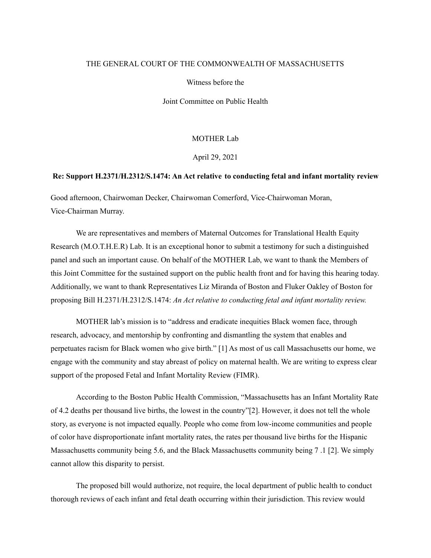# THE GENERAL COURT OF THE COMMONWEALTH OF MASSACHUSETTS

Witness before the

Joint Committee on Public Health

### MOTHER Lab

April 29, 2021

## **Re: Support H.2371/H.2312/S.1474: An Act relative to conducting fetal and infant mortality review**

Good afternoon, Chairwoman Decker, Chairwoman Comerford, Vice-Chairwoman Moran, Vice-Chairman Murray.

We are representatives and members of Maternal Outcomes for Translational Health Equity Research (M.O.T.H.E.R) Lab. It is an exceptional honor to submit a testimony for such a distinguished panel and such an important cause. On behalf of the MOTHER Lab, we want to thank the Members of this Joint Committee for the sustained support on the public health front and for having this hearing today. Additionally, we want to thank Representatives Liz Miranda of Boston and Fluker Oakley of Boston for proposing Bill H.2371/H.2312/S.1474: *An Act relative to conducting fetal and infant mortality review.*

MOTHER lab's mission is to "address and eradicate inequities Black women face, through research, advocacy, and mentorship by confronting and dismantling the system that enables and perpetuates racism for Black women who give birth." [1] As most of us call Massachusetts our home, we engage with the community and stay abreast of policy on maternal health. We are writing to express clear support of the proposed Fetal and Infant Mortality Review (FIMR).

According to the Boston Public Health Commission, "Massachusetts has an Infant Mortality Rate of 4.2 deaths per thousand live births, the lowest in the country"[2]. However, it does not tell the whole story, as everyone is not impacted equally. People who come from low-income communities and people of color have disproportionate infant mortality rates, the rates per thousand live births for the Hispanic Massachusetts community being 5.6, and the Black Massachusetts community being 7 .1 [2]. We simply cannot allow this disparity to persist.

The proposed bill would authorize, not require, the local department of public health to conduct thorough reviews of each infant and fetal death occurring within their jurisdiction. This review would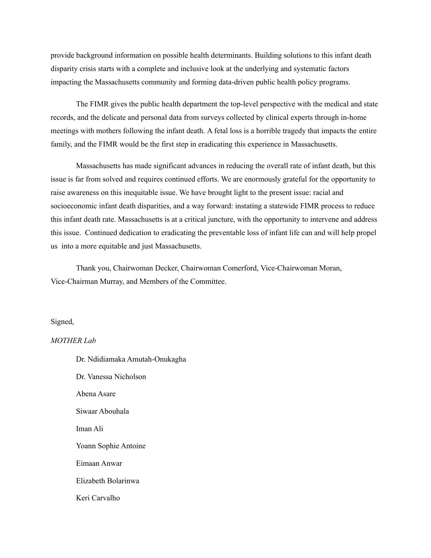provide background information on possible health determinants. Building solutions to this infant death disparity crisis starts with a complete and inclusive look at the underlying and systematic factors impacting the Massachusetts community and forming data-driven public health policy programs.

The FIMR gives the public health department the top-level perspective with the medical and state records, and the delicate and personal data from surveys collected by clinical experts through in-home meetings with mothers following the infant death. A fetal loss is a horrible tragedy that impacts the entire family, and the FIMR would be the first step in eradicating this experience in Massachusetts.

Massachusetts has made significant advances in reducing the overall rate of infant death, but this issue is far from solved and requires continued efforts. We are enormously grateful for the opportunity to raise awareness on this inequitable issue. We have brought light to the present issue: racial and socioeconomic infant death disparities, and a way forward: instating a statewide FIMR process to reduce this infant death rate. Massachusetts is at a critical juncture, with the opportunity to intervene and address this issue. Continued dedication to eradicating the preventable loss of infant life can and will help propel us into a more equitable and just Massachusetts.

Thank you, Chairwoman Decker, Chairwoman Comerford, Vice-Chairwoman Moran, Vice-Chairman Murray, and Members of the Committee.

### Signed,

### *MOTHER Lab*

Dr. Ndidiamaka Amutah-Onukagha Dr. Vanessa Nicholson Abena Asare Siwaar Abouhala Iman Ali Yoann Sophie Antoine Eimaan Anwar Elizabeth Bolarinwa Keri Carvalho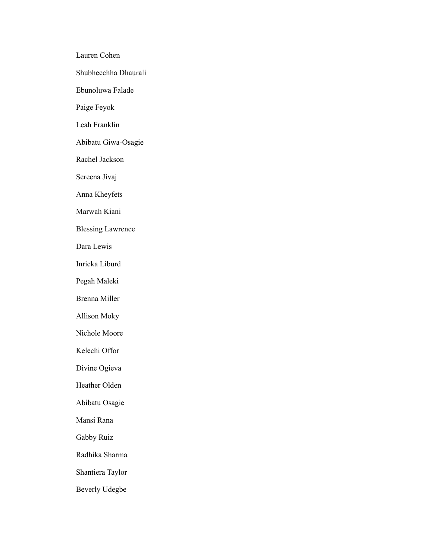Lauren Cohen Shubhecchha Dhaurali Ebunoluwa Falade Paige Feyok Leah Franklin Abibatu Giwa-Osagie Rachel Jackson Sereena Jivaj Anna Kheyfets Marwah Kiani Blessing Lawrence Dara Lewis Inricka Liburd Pegah Maleki Brenna Miller Allison Moky Nichole Moore Kelechi Offor Divine Ogieva Heather Olden Abibatu Osagie Mansi Rana Gabby Ruiz Radhika Sharma Shantiera Taylor Beverly Udegbe